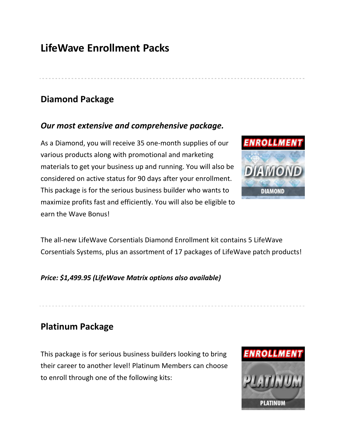# **LifeWave Enrollment Packs**

### **Diamond Package**

#### *Our most extensive and comprehensive package.*

As a Diamond, you will receive 35 one-month supplies of our various products along with promotional and marketing materials to get your business up and running. You will also be considered on active status for 90 days after your enrollment. This package is for the serious business builder who wants to maximize profits fast and efficiently. You will also be eligible to earn the Wave Bonus!



The all-new LifeWave Corsentials Diamond Enrollment kit contains 5 LifeWave Corsentials Systems, plus an assortment of 17 packages of LifeWave patch products!

#### *Price: \$1,499.95 (LifeWave Matrix options also available)*

## **Platinum Package**

This package is for serious business builders looking to bring their career to another level! Platinum Members can choose to enroll through one of the following kits:

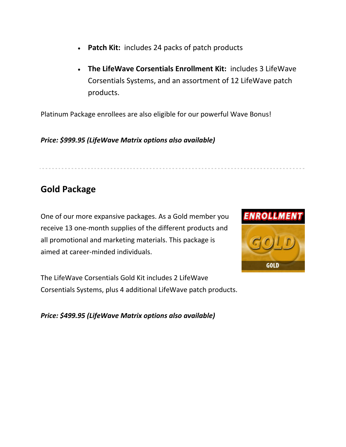- **Patch Kit:** includes 24 packs of patch products
- **The LifeWave Corsentials Enrollment Kit:** includes 3 LifeWave Corsentials Systems, and an assortment of 12 LifeWave patch products.

Platinum Package enrollees are also eligible for our powerful Wave Bonus!

*Price: \$999.95 (LifeWave Matrix options also available)*

# **Gold Package**

One of our more expansive packages. As a Gold member you receive 13 one-month supplies of the different products and all promotional and marketing materials. This package is aimed at career-minded individuals.

The LifeWave Corsentials Gold Kit includes 2 LifeWave Corsentials Systems, plus 4 additional LifeWave patch products.



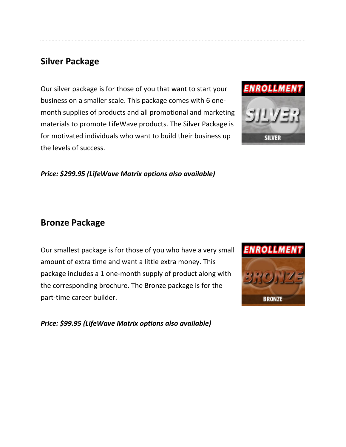## **Silver Package**

Our silver package is for those of you that want to start your business on a smaller scale. This package comes with 6 onemonth supplies of products and all promotional and marketing materials to promote LifeWave products. The Silver Package is for motivated individuals who want to build their business up the levels of success.



*Price: \$299.95 (LifeWave Matrix options also available)*

#### **Bronze Package**

Our smallest package is for those of you who have a very small amount of extra time and want a little extra money. This package includes a 1 one-month supply of product along with the corresponding brochure. The Bronze package is for the part-time career builder.



*Price: \$99.95 (LifeWave Matrix options also available)*